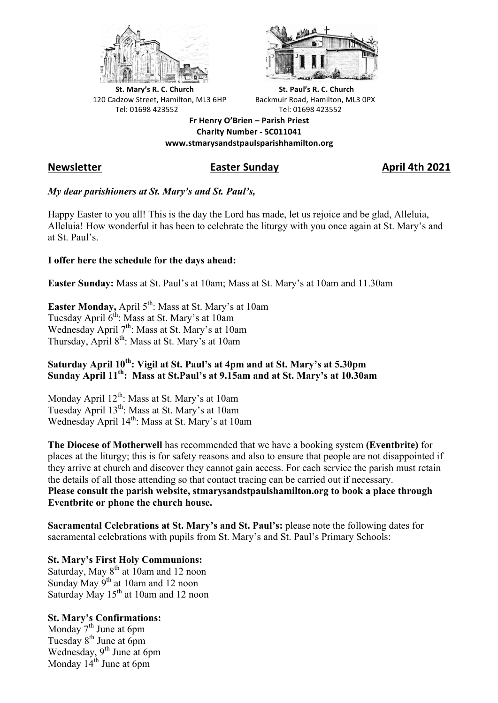



**St.** Mary's R. C. Church St. Paul's R. C. Church 120 Cadzow Street, Hamilton, ML3 6HP Backmuir Road, Hamilton, ML3 0PX Tel: 01698 423552 Tel: 01698 423552

**Fr Henry O'Brien – Parish Priest Charity Number - SC011041 www.stmarysandstpaulsparishhamilton.org**

# **Newsletter Easter Sunday April 4th 2021**

## *My dear parishioners at St. Mary's and St. Paul's,*

Happy Easter to you all! This is the day the Lord has made, let us rejoice and be glad, Alleluia, Alleluia! How wonderful it has been to celebrate the liturgy with you once again at St. Mary's and at St. Paul's.

## **I offer here the schedule for the days ahead:**

**Easter Sunday:** Mass at St. Paul's at 10am; Mass at St. Mary's at 10am and 11.30am

**Easter Monday, April 5<sup>th</sup>: Mass at St. Mary's at 10am** Tuesday April 6<sup>th</sup>: Mass at St. Mary's at 10am Wednesday April 7<sup>th</sup>: Mass at St. Mary's at 10am Thursday, April  $8<sup>th</sup>$ : Mass at St. Mary's at 10am

## Saturday April 10<sup>th</sup>: Vigil at St. Paul's at 4pm and at St. Mary's at 5.30pm **Sunday April 11th: Mass at St.Paul's at 9.15am and at St. Mary's at 10.30am**

Monday April 12<sup>th</sup>: Mass at St. Mary's at 10am Tuesday April  $13^{th}$ : Mass at St. Mary's at 10am Wednesday April 14<sup>th</sup>: Mass at St. Mary's at 10am

**The Diocese of Motherwell** has recommended that we have a booking system **(Eventbrite)** for places at the liturgy; this is for safety reasons and also to ensure that people are not disappointed if they arrive at church and discover they cannot gain access. For each service the parish must retain the details of all those attending so that contact tracing can be carried out if necessary. **Please consult the parish website, stmarysandstpaulshamilton.org to book a place through Eventbrite or phone the church house.**

**Sacramental Celebrations at St. Mary's and St. Paul's:** please note the following dates for sacramental celebrations with pupils from St. Mary's and St. Paul's Primary Schools:

## **St. Mary's First Holy Communions:**

Saturday, May 8<sup>th</sup> at 10am and 12 noon Sunday May 9<sup>th</sup> at 10am and 12 noon Saturday May 15<sup>th</sup> at 10am and 12 noon

## **St. Mary's Confirmations:**

Monday  $7<sup>th</sup>$  June at 6pm Tuesday 8<sup>th</sup> June at 6pm Wednesday, 9<sup>th</sup> June at 6pm Monday  $14<sup>th</sup>$  June at 6pm